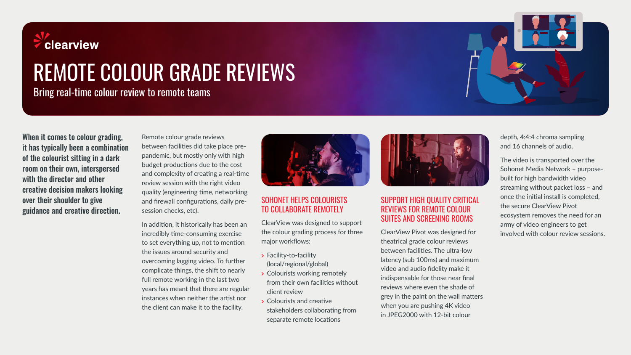

# REMOTE COLOUR GRADE REVIEWS

Bring real-time colour review to remote teams

When it comes to colour grading, it has typically been a combination of the colourist sitting in a dark room on their own, interspersed with the director and other creative decision makers looking over their shoulder to give guidance and creative direction.

Remote colour grade reviews between facilities did take place prepandemic, but mostly only with high budget productions due to the cost and complexity of creating a real-time review session with the right video quality (engineering time, networking and firewall configurations, daily presession checks, etc).

In addition, it historically has been an incredibly time-consuming exercise to set everything up, not to mention the issues around security and overcoming lagging video. To further complicate things, the shift to nearly full remote working in the last two years has meant that there are regular instances when neither the artist nor the client can make it to the facility.



#### SOHONET HELPS COLOURISTS TO COLLABORATE REMOTELY

ClearView was designed to support the colour grading process for three major workflows:

- **>** Facility-to-facility (local/regional/global)
- **>** Colourists working remotely from their own facilities without client review
- **>** Colourists and creative stakeholders collaborating from separate remote locations



#### SUPPORT HIGH QUALITY CRITICAL REVIEWS FOR REMOTE COLOUR SUITES AND SCREENING ROOMS

ClearView Pivot was designed for theatrical grade colour reviews between facilities. The ultra-low latency (sub 100ms) and maximum video and audio fidelity make it indispensable for those near final reviews where even the shade of grey in the paint on the wall matters when you are pushing 4K video in JPEG2000 with 12-bit colour

depth, 4:4:4 chroma sampling and 16 channels of audio.

The video is transported over the Sohonet Media Network – purposebuilt for high bandwidth video streaming without packet loss – and once the initial install is completed, the secure ClearView Pivot ecosystem removes the need for an army of video engineers to get involved with colour review sessions.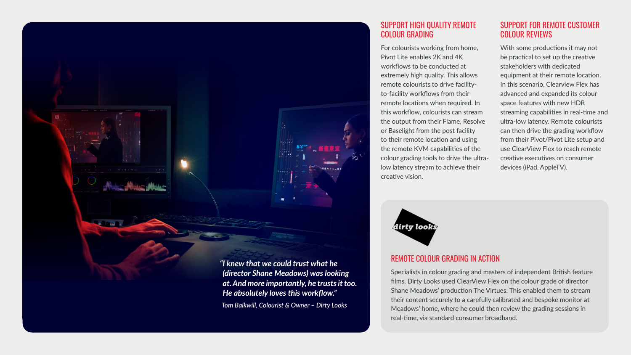

*Tom Balkwill, Colourist & Owner – Dirty Looks*

SUPPORT HIGH QUALITY REMOTE COLOUR GRADING

For colourists working from home, Pivot Lite enables 2K and 4K workflows to be conducted at extremely high quality. This allows remote colourists to drive facilityto-facility workflows from their remote locations when required. In this workflow, colourists can stream the output from their Flame, Resolve or Baselight from the post facility to their remote location and using the remote KVM capabilities of the colour grading tools to drive the ultralow latency stream to achieve their creative vision.



With some productions it may not be practical to set up the creative stakeholders with dedicated equipment at their remote location. In this scenario, Clearview Flex has advanced and expanded its colour space features with new HDR streaming capabilities in real-time and ultra-low latency. Remote colourists can then drive the grading workflow from their Pivot/Pivot Lite setup and use ClearView Flex to reach remote creative executives on consumer devices (iPad, AppleTV).



#### REMOTE COLOUR GRADING IN ACTION

Specialists in colour grading and masters of independent British feature films, Dirty Looks used ClearView Flex on the colour grade of director Shane Meadows' production The Virtues. This enabled them to stream their content securely to a carefully calibrated and bespoke monitor at Meadows' home, where he could then review the grading sessions in real-time, via standard consumer broadband.